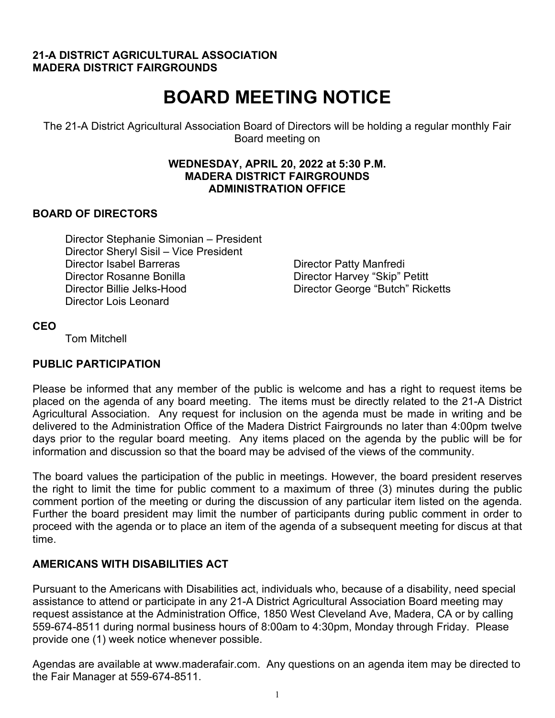#### **21-A DISTRICT AGRICULTURAL ASSOCIATION MADERA DISTRICT FAIRGROUNDS**

# **BOARD MEETING NOTICE**

The 21-A District Agricultural Association Board of Directors will be holding a regular monthly Fair Board meeting on

#### **WEDNESDAY, APRIL 20, 2022 at 5:30 P.M. MADERA DISTRICT FAIRGROUNDS ADMINISTRATION OFFICE**

#### **BOARD OF DIRECTORS**

Director Stephanie Simonian – President Director Sheryl Sisil – Vice President Director Isabel Barreras **Director Patty Manfredi** Director Rosanne Bonilla Director Harvey "Skip" Petitt Director Billie Jelks-Hood Director George "Butch" Ricketts Director Lois Leonard

#### **CEO**

Tom Mitchell

# **PUBLIC PARTICIPATION**

Please be informed that any member of the public is welcome and has a right to request items be placed on the agenda of any board meeting. The items must be directly related to the 21-A District Agricultural Association. Any request for inclusion on the agenda must be made in writing and be delivered to the Administration Office of the Madera District Fairgrounds no later than 4:00pm twelve days prior to the regular board meeting. Any items placed on the agenda by the public will be for information and discussion so that the board may be advised of the views of the community.

The board values the participation of the public in meetings. However, the board president reserves the right to limit the time for public comment to a maximum of three (3) minutes during the public comment portion of the meeting or during the discussion of any particular item listed on the agenda. Further the board president may limit the number of participants during public comment in order to proceed with the agenda or to place an item of the agenda of a subsequent meeting for discus at that time.

#### **AMERICANS WITH DISABILITIES ACT**

Pursuant to the Americans with Disabilities act, individuals who, because of a disability, need special assistance to attend or participate in any 21-A District Agricultural Association Board meeting may request assistance at the Administration Office, 1850 West Cleveland Ave, Madera, CA or by calling 559-674-8511 during normal business hours of 8:00am to 4:30pm, Monday through Friday. Please provide one (1) week notice whenever possible.

Agendas are available at www.maderafair.com. Any questions on an agenda item may be directed to the Fair Manager at 559-674-8511.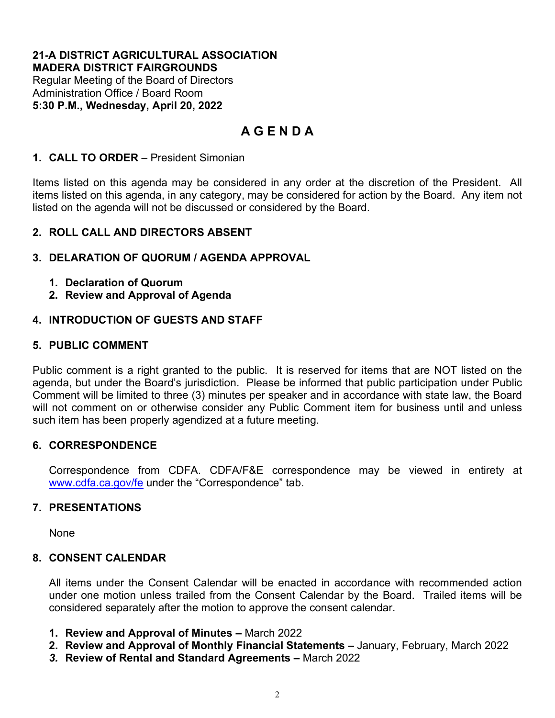#### **21-A DISTRICT AGRICULTURAL ASSOCIATION MADERA DISTRICT FAIRGROUNDS**

Regular Meeting of the Board of Directors Administration Office / Board Room **5:30 P.M., Wednesday, April 20, 2022**

# **A G E N D A**

# **1. CALL TO ORDER** – President Simonian

Items listed on this agenda may be considered in any order at the discretion of the President. All items listed on this agenda, in any category, may be considered for action by the Board. Any item not listed on the agenda will not be discussed or considered by the Board.

# **2. ROLL CALL AND DIRECTORS ABSENT**

# **3. DELARATION OF QUORUM / AGENDA APPROVAL**

- **1. Declaration of Quorum**
- **2. Review and Approval of Agenda**

# **4. INTRODUCTION OF GUESTS AND STAFF**

# **5. PUBLIC COMMENT**

Public comment is a right granted to the public. It is reserved for items that are NOT listed on the agenda, but under the Board's jurisdiction. Please be informed that public participation under Public Comment will be limited to three (3) minutes per speaker and in accordance with state law, the Board will not comment on or otherwise consider any Public Comment item for business until and unless such item has been properly agendized at a future meeting.

#### **6. CORRESPONDENCE**

Correspondence from CDFA. CDFA/F&E correspondence may be viewed in entirety at [www.cdfa.ca.gov/fe](http://www.cdfa.ca.gov/fe) under the "Correspondence" tab.

#### **7. PRESENTATIONS**

None

#### **8. CONSENT CALENDAR**

All items under the Consent Calendar will be enacted in accordance with recommended action under one motion unless trailed from the Consent Calendar by the Board. Trailed items will be considered separately after the motion to approve the consent calendar.

- **1. Review and Approval of Minutes –** March 2022
- **2. Review and Approval of Monthly Financial Statements –** January, February, March 2022
- *3.* **Review of Rental and Standard Agreements –** March 2022